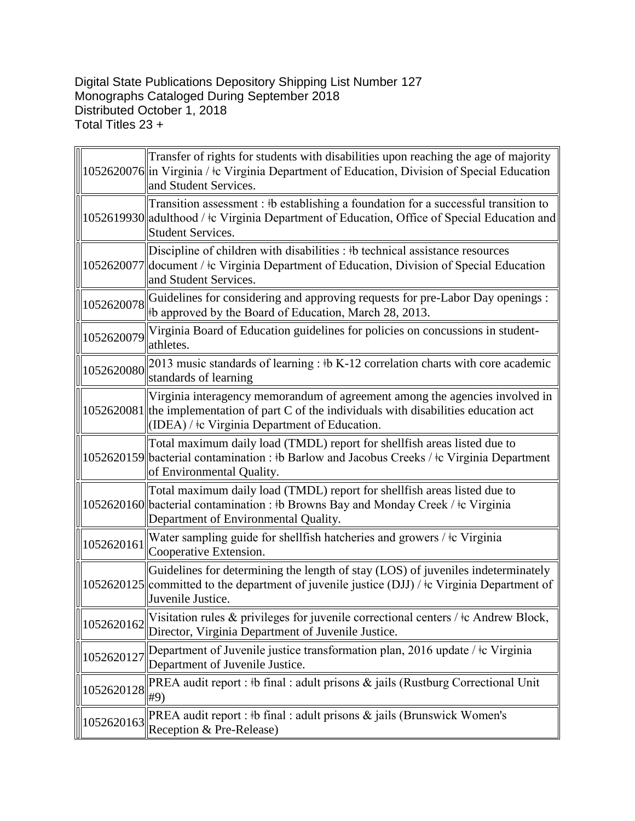## Digital State Publications Depository Shipping List Number 127 Monographs Cataloged During September 2018 Distributed October 1, 2018 Total Titles 23 +

|            | Transfer of rights for students with disabilities upon reaching the age of majority<br>1052620076 lin Virginia / ‡c Virginia Department of Education, Division of Special Education<br>and Student Services.                 |
|------------|------------------------------------------------------------------------------------------------------------------------------------------------------------------------------------------------------------------------------|
|            | Transition assessment: #b establishing a foundation for a successful transition to<br>1052619930 adulthood / ‡c Virginia Department of Education, Office of Special Education and<br><b>Student Services.</b>                |
|            | Discipline of children with disabilities : #b technical assistance resources<br>1052620077 document / ‡c Virginia Department of Education, Division of Special Education<br>and Student Services.                            |
| 1052620078 | Guidelines for considering and approving requests for pre-Labor Day openings :<br>#b approved by the Board of Education, March 28, 2013.                                                                                     |
| 1052620079 | Virginia Board of Education guidelines for policies on concussions in student-<br>athletes.                                                                                                                                  |
| 1052620080 | 2013 music standards of learning : $\frac{1}{2}$ K-12 correlation charts with core academic<br>standards of learning                                                                                                         |
|            | Virginia interagency memorandum of agreement among the agencies involved in<br>$1052620081$ the implementation of part C of the individuals with disabilities education act<br>(IDEA) / ‡c Virginia Department of Education. |
|            | Total maximum daily load (TMDL) report for shellfish areas listed due to<br>1052620159 bacterial contamination : #b Barlow and Jacobus Creeks / #c Virginia Department<br>of Environmental Quality.                          |
|            | Total maximum daily load (TMDL) report for shellfish areas listed due to<br>1052620160 bacterial contamination : #b Browns Bay and Monday Creek / $\pm c$ Virginia<br>Department of Environmental Quality.                   |
| 1052620161 | Water sampling guide for shellfish hatcheries and growers / $\pm c$ Virginia<br>Cooperative Extension.                                                                                                                       |
|            | Guidelines for determining the length of stay (LOS) of juveniles indeterminately<br>1052620125 committed to the department of juvenile justice (DJJ) / $\pm$ Virginia Department of<br>Juvenile Justice.                     |
| 1052620162 | Visitation rules & privileges for juvenile correctional centers / ‡c Andrew Block,<br>Director, Virginia Department of Juvenile Justice.                                                                                     |
| 1052620127 | Department of Juvenile justice transformation plan, 2016 update / ‡c Virginia<br>Department of Juvenile Justice.                                                                                                             |
| 1052620128 | PREA audit report : #b final : adult prisons & jails (Rustburg Correctional Unit<br>#9)                                                                                                                                      |
| 1052620163 | PREA audit report : #b final : adult prisons $\&$ jails (Brunswick Women's<br>Reception & Pre-Release)                                                                                                                       |